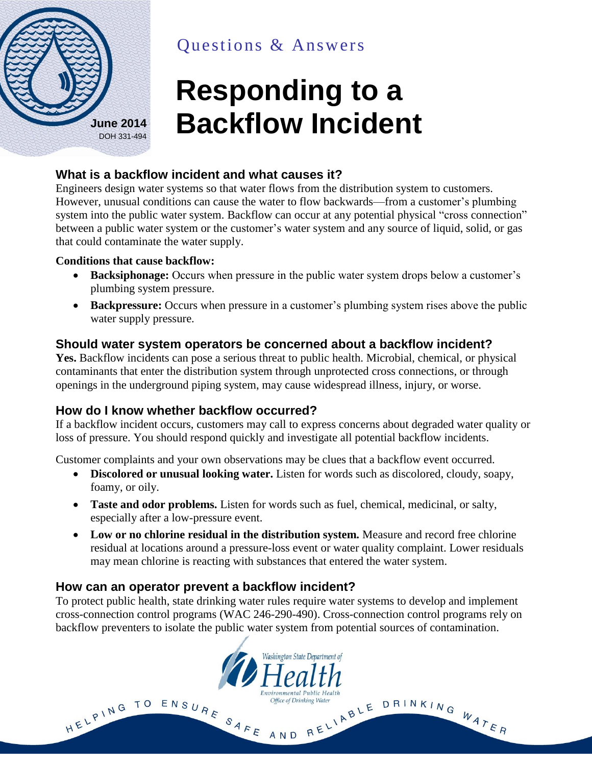

Questions & Answers

# **Responding to a Backflow Incident**

## **What is a backflow incident and what causes it?**

Engineers design water systems so that water flows from the distribution system to customers. However, unusual conditions can cause the water to flow backwards—from a customer's plumbing system into the public water system. Backflow can occur at any potential physical "cross connection" between a public water system or the customer's water system and any source of liquid, solid, or gas that could contaminate the water supply.

#### **Conditions that cause backflow:**

- **Backsiphonage:** Occurs when pressure in the public water system drops below a customer's plumbing system pressure.
- **Backpressure:** Occurs when pressure in a customer's plumbing system rises above the public water supply pressure.

## **Should water system operators be concerned about a backflow incident?**

**Yes.** Backflow incidents can pose a serious threat to public health. Microbial, chemical, or physical contaminants that enter the distribution system through unprotected cross connections, or through openings in the underground piping system, may cause widespread illness, injury, or worse.

## **How do I know whether backflow occurred?**

If a backflow incident occurs, customers may call to express concerns about degraded water quality or loss of pressure. You should respond quickly and investigate all potential backflow incidents.

Customer complaints and your own observations may be clues that a backflow event occurred.

- **Discolored or unusual looking water.** Listen for words such as discolored, cloudy, soapy, foamy, or oily.
- **Taste and odor problems.** Listen for words such as fuel, chemical, medicinal, or salty, especially after a low-pressure event.
- **Low or no chlorine residual in the distribution system.** Measure and record free chlorine residual at locations around a pressure-loss event or water quality complaint. Lower residuals may mean chlorine is reacting with substances that entered the water system.

## **How can an operator prevent a backflow incident?**

To protect public health, state drinking water rules require water systems to develop and implement cross-connection control programs (WAC 246-290-490). Cross-connection control programs rely on backflow preventers to isolate the public water system from potential sources of contamination.

Washington State Department of

**Environmental Public Health** 

Office of Drinking Water

HELPING TO ENSURE SAFE AND RELIABLE DRINKING WATER